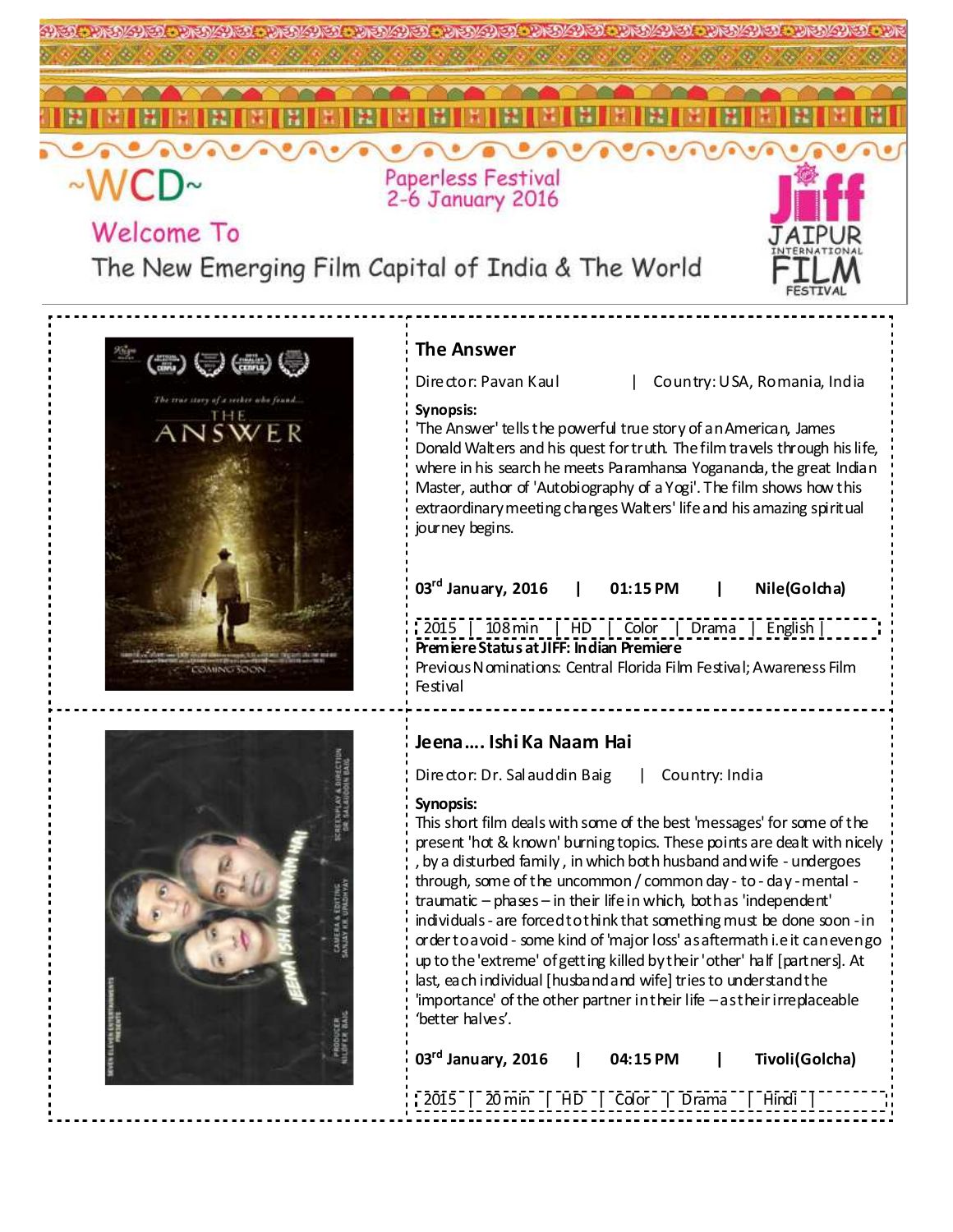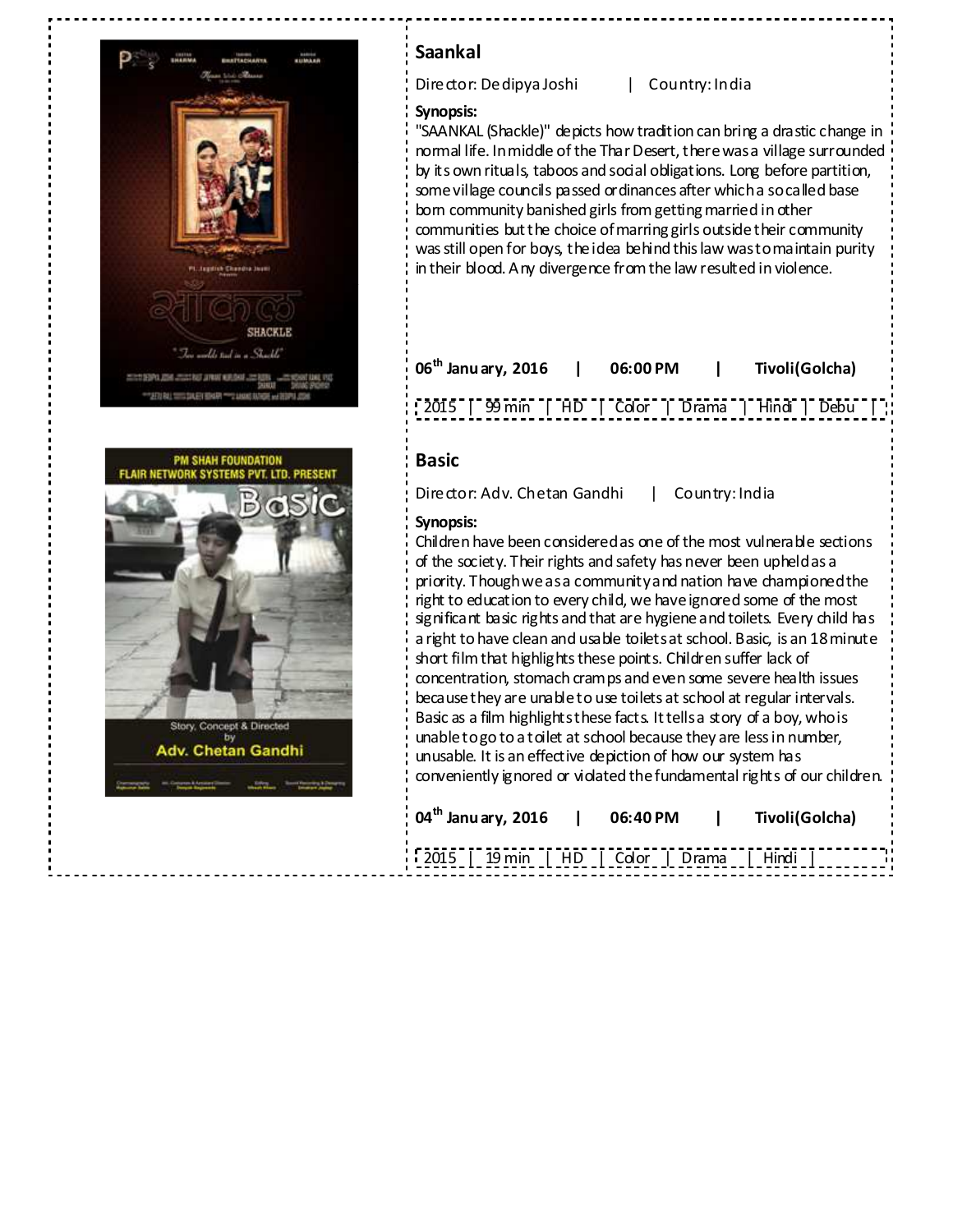



## **Saankal**

Director: Dedipya Joshi | Country: India

### **Synopsis:**

"SAANKAL (Shackle)" depicts how tradition can bring a drastic change in normal life. In middle of the Thar Desert, there was a village surrounded by its own rituals, taboos and social obligations. Long before partition, some village councils passed ordinances after which a so called base born community banished girls from getting married in other communities but the choice of marring girls outside their community was still open for boys, the idea behind this law was to maintain purity in their blood. Any divergence from the law resulted in violence.

| $06^{\text{th}}$ Janu ary, 2016                       | 06:00 PM | Tivoli(Golcha) |  |
|-------------------------------------------------------|----------|----------------|--|
| [2015] [99 min [HD] [Color   Drama   Hindi   Debu   ] |          |                |  |

## **Basic**

Director: Adv. Chetan Gandhi | Country: India

### **Synopsis:**

Children have been considered as one of the most vulnerable sections of the society. Their rights and safety has never been upheld as a priority. Though we as a community and nation have championed the right to education to every child, we have ignored some of the most significant basic rights and that are hygiene and toilets. Every child has a right to have clean and usable toilets at school. Basic, is an 18 minute short film that highlights these points. Children suffer lack of concentration, stomach cramps and even some severe health issues because they are unable to use toilets at school at regular intervals. Basic as a film highlights these facts. It tells a story of a boy, who is unable to go to a toilet at school because they are less in number, unusable. It is an effective depiction of how our system has conveniently ignored or violated the fundamental rights of our children.

| 04 <sup>th</sup> Janu ary, 2016   06:40 PM |  | Tivoli(Golcha) |  |
|--------------------------------------------|--|----------------|--|
| [2015] 19 min   HD   Color   Drama   Hindi |  |                |  |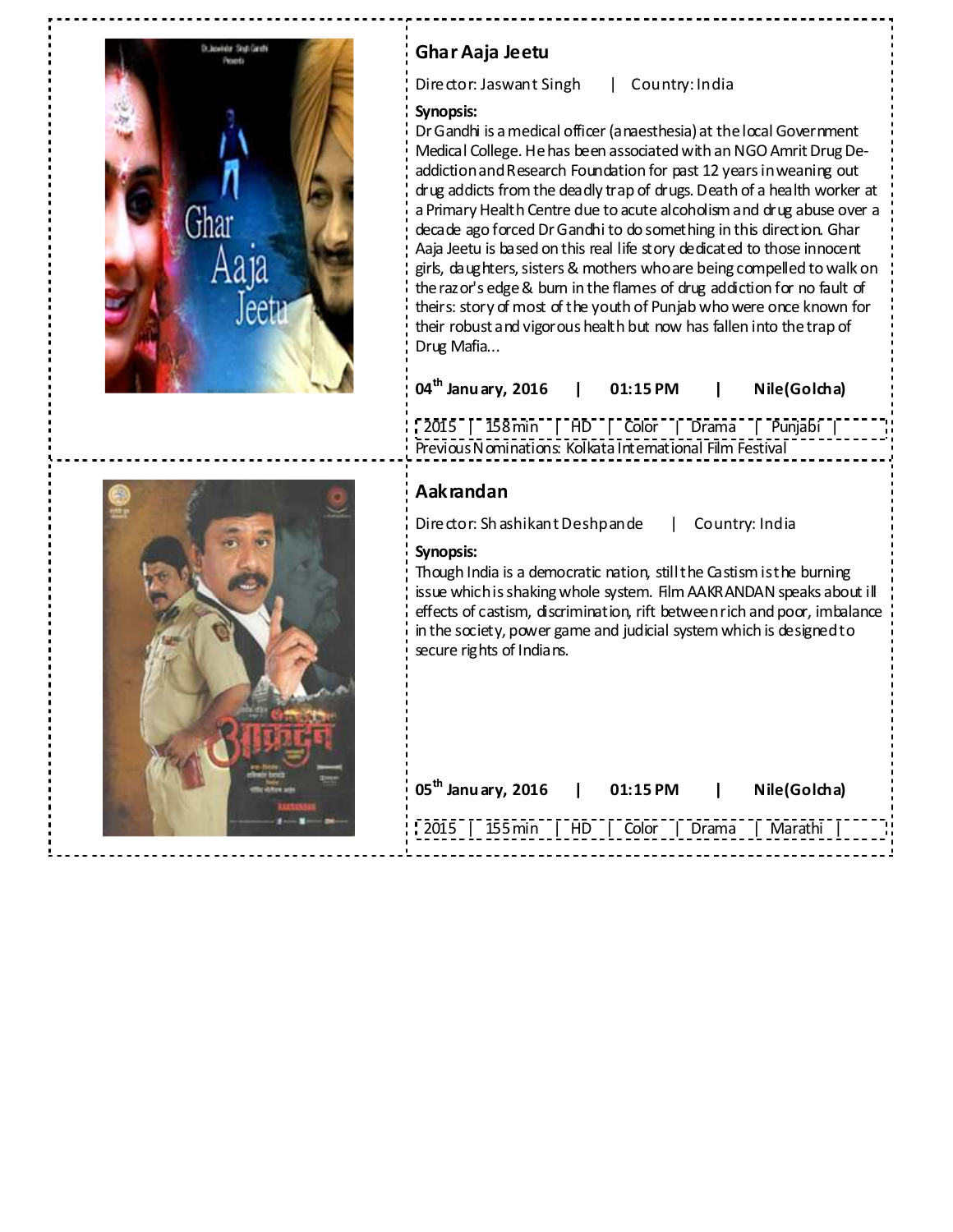

## **Ghar Aaja Jeetu**

Director: Jaswant Singh | Country: India

### **Synopsis:**

Dr Gandhi is a medical officer (anaesthesia) at the local Government Medical College. He has been associated with an NGO Amrit Drug Deaddiction and Research Foundation for past 12 years in weaning out drug addicts from the deadly trap of drugs. Death of a health worker at a Primary Health Centre due to acute alcoholism and drug abuse over a decade ago forced Dr Gandhi to do something in this direction. Ghar Aaja Jeetu is based on this real life story dedicated to those innocent girls, daughters, sisters & mothers who are being compelled to walk on the razor's edge & burn in the flames of drug addiction for no fault of theirs: story of most of the youth of Punjab who were once known for their robust and vigorous health but now has fallen into the trap of Drug Mafia...

| $04^{\text{th}}$ Janu ary, 2016 | 01:15 PM | Nile(Golcha) |
|---------------------------------|----------|--------------|
|                                 |          |              |

2015 | 158 min | HD | Color | Drama | Punjabi | Previous Nominations: Kolkata International Film Festival

## **Aakrandan**

Director: Sh ashikant Deshpande | Country: India

## **Synopsis:**

Though India is a democratic nation, still the Castism is the burning issue which is shaking whole system. Film AAKRANDAN speaks about ill effects of castism, discrimination, rift between rich and poor, imbalance in the society, power game and judicial system which is designed to secure rights of Indians.

| $105^{\text{th}}$ Janu ary, 2016              | 01:15 PM | $\mathbf{1}$ | Nile(Golcha) |
|-----------------------------------------------|----------|--------------|--------------|
| 2015   155 min   HD   Color   Drama   Marathi |          |              |              |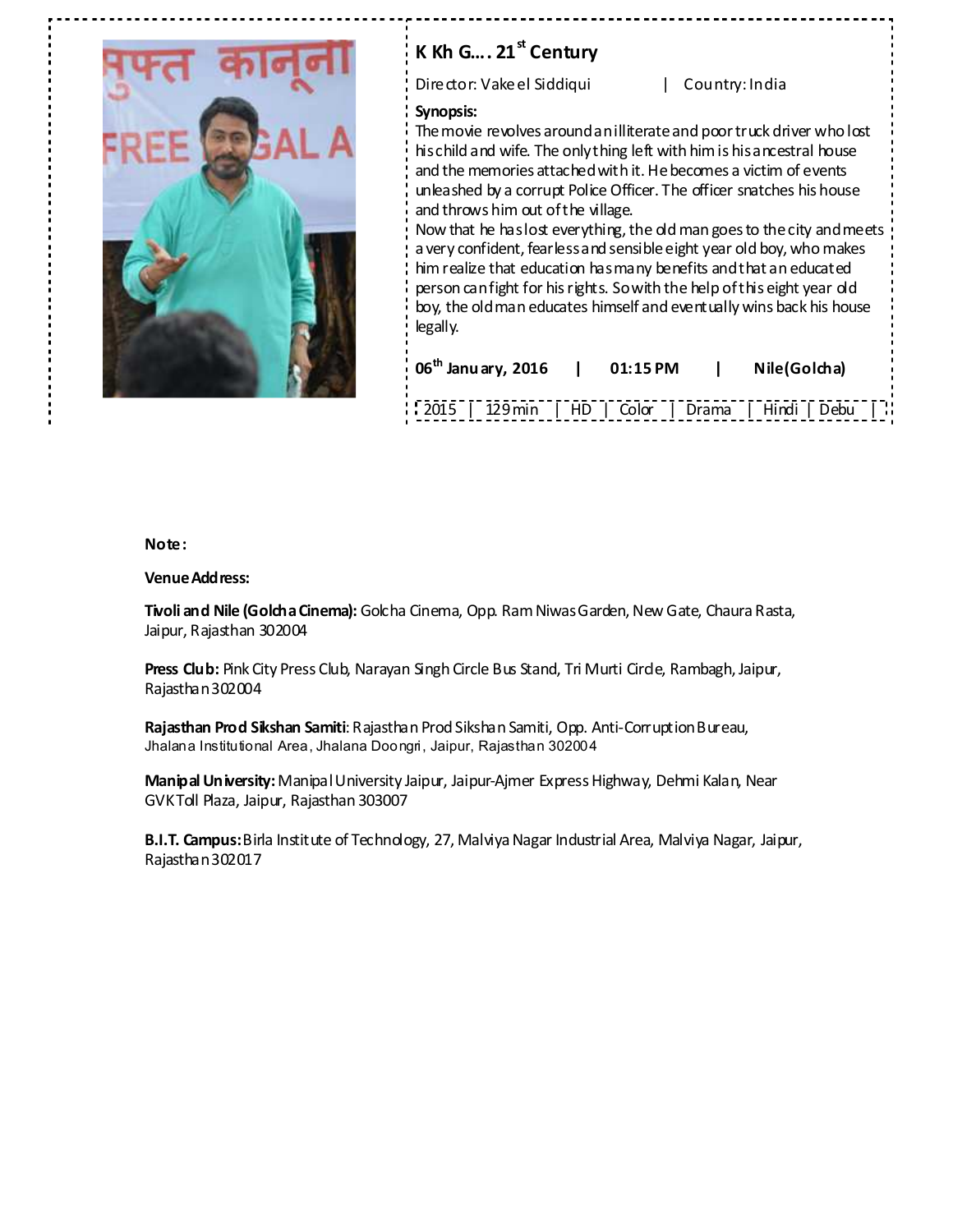

# **K Kh G…. 21st Century**

Director: Vakeel Siddiqui | Country: India

#### **Synopsis:**

The movie revolves around an illiterate and poor truck driver who lost his child and wife. The only thing left with him is his ancestral house and the memories attached with it. He becomes a victim of events unleashed by a corrupt Police Officer. The officer snatches his house and throws him out of the village.

Now that he has lost everything, the old man goes to the city and meets a very confident, fearless and sensible eight year old boy, who makes him realize that education has many benefits and that an educated person can fight for his rights. So with the help of this eight year old boy, the old man educates himself and eventually wins back his house legally.

| $06^{\text{th}}$ Janu ary, 2016   01:15 PM         | Nile(Golcha) |  |
|----------------------------------------------------|--------------|--|
| 2015   129 min   HD   Color   Drama   Hindi   Debu |              |  |

#### **Note:**

#### **Venue Address:**

**Tivoli and Nile (Golcha Cinema):** Golcha Cinema, Opp. Ram Niwas Garden, New Gate, Chaura Rasta, Jaipur, Rajasthan 302004

**Press Club:** Pink City Press Club, Narayan Singh Circle Bus Stand, Tri Murti Circle, Rambagh, Jaipur, Rajasthan 302004

**Rajasthan Prod Sikshan Samiti**: Rajasthan Prod Sikshan Samiti, Opp. Anti-Corruption Bureau, Jhalana Institutional Area, Jhalana Doongri, Jaipur, Rajasthan 302004

**Manipal University:** Manipal University Jaipur, Jaipur-Ajmer Express Highway, Dehmi Kalan, Near GVK Toll Plaza, Jaipur, Rajasthan 303007

**B.I.T. Campus:** Birla Institute of Technology, 27, Malviya Nagar Industrial Area, Malviya Nagar, Jaipur, Rajasthan 302017